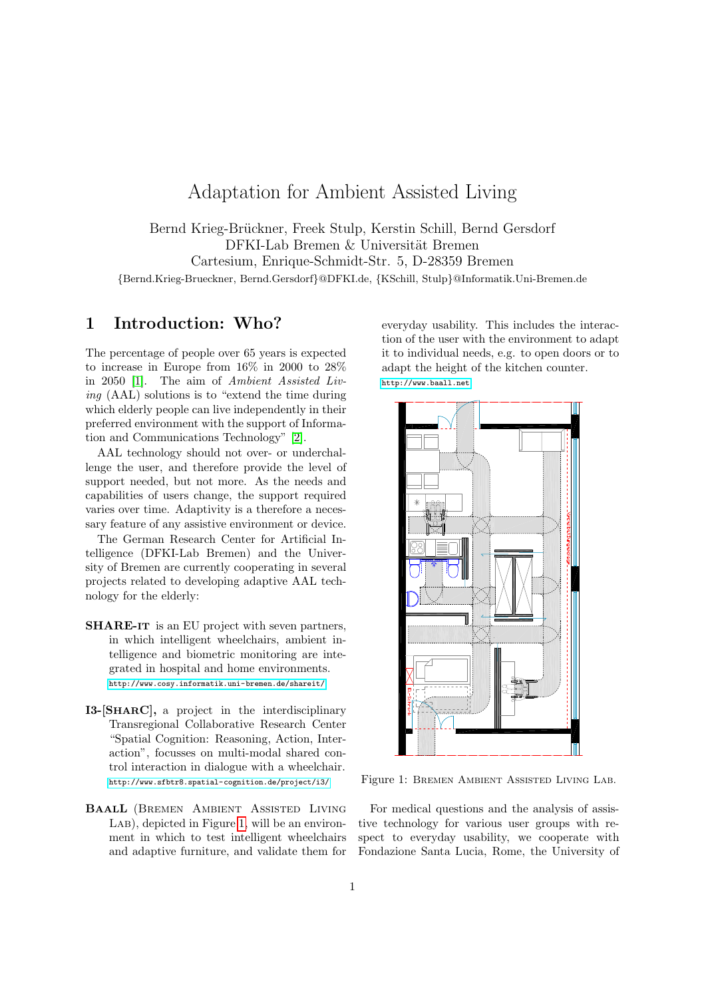# Adaptation for Ambient Assisted Living

Bernd Krieg-Brückner, Freek Stulp, Kerstin Schill, Bernd Gersdorf DFKI-Lab Bremen & Universität Bremen Cartesium, Enrique-Schmidt-Str. 5, D-28359 Bremen {Bernd.Krieg-Brueckner, Bernd.Gersdorf}@DFKI.de, {KSchill, Stulp}@Informatik.Uni-Bremen.de

### 1 Introduction: Who?

The percentage of people over 65 years is expected to increase in Europe from 16% in 2000 to 28% in 2050 [\[1\]](#page-2-0). The aim of Ambient Assisted Living (AAL) solutions is to "extend the time during which elderly people can live independently in their preferred environment with the support of Information and Communications Technology" [\[2\]](#page-2-1).

AAL technology should not over- or underchallenge the user, and therefore provide the level of support needed, but not more. As the needs and capabilities of users change, the support required varies over time. Adaptivity is a therefore a necessary feature of any assistive environment or device.

The German Research Center for Artificial Intelligence (DFKI-Lab Bremen) and the University of Bremen are currently cooperating in several projects related to developing adaptive AAL technology for the elderly:

- SHARE-IT is an EU project with seven partners, in which intelligent wheelchairs, ambient intelligence and biometric monitoring are integrated in hospital and home environments. <http://www.cosy.informatik.uni-bremen.de/shareit/>
- I3-[SHARC], a project in the interdisciplinary Transregional Collaborative Research Center "Spatial Cognition: Reasoning, Action, Interaction", focusses on multi-modal shared control interaction in dialogue with a wheelchair. <http://www.sfbtr8.spatial-cognition.de/project/i3/>
- BAALL (Bremen Ambient Assisted Living LAB), depicted in Figure [1,](#page-0-0) will be an environment in which to test intelligent wheelchairs spec and adaptive furniture, and validate them for Fond

everyday usability. This includes the interaction of the user with the environment to adapt it to individual needs, e.g. to open doors or to adapt the height of the kitchen counter. <http://www.baall.net>



<span id="page-0-0"></span>Figure 1: Bremen Ambient Assisted Living Lab.

elchairs spect to everyday usability, we cooperate with tive technology for various user groups with re-Fondazione Santa Lucia, Rome, the University of For medical questions and the analysis of assis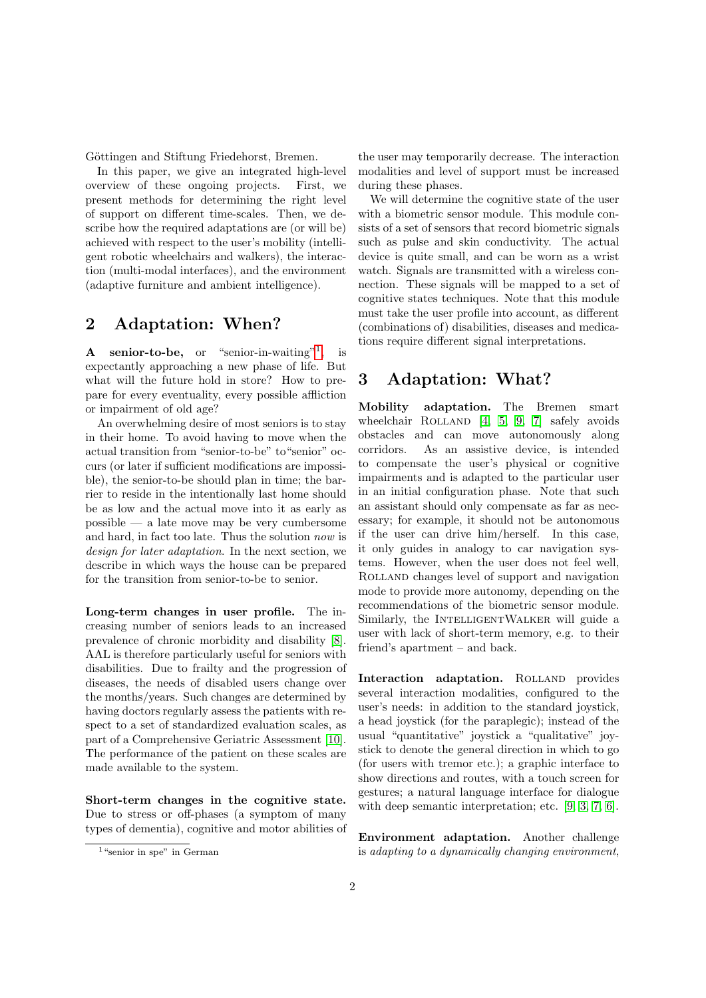Göttingen and Stiftung Friedehorst, Bremen.

In this paper, we give an integrated high-level overview of these ongoing projects. First, we present methods for determining the right level of support on different time-scales. Then, we describe how the required adaptations are (or will be) achieved with respect to the user's mobility (intelligent robotic wheelchairs and walkers), the interaction (multi-modal interfaces), and the environment (adaptive furniture and ambient intelligence).

#### 2 Adaptation: When?

A senior-to-be, or "senior-in-waiting"<sup>[1](#page-1-0)</sup>, , is expectantly approaching a new phase of life. But what will the future hold in store? How to prepare for every eventuality, every possible affliction or impairment of old age?

An overwhelming desire of most seniors is to stay in their home. To avoid having to move when the actual transition from "senior-to-be" to"senior" occurs (or later if sufficient modifications are impossible), the senior-to-be should plan in time; the barrier to reside in the intentionally last home should be as low and the actual move into it as early as possible — a late move may be very cumbersome and hard, in fact too late. Thus the solution now is design for later adaptation. In the next section, we describe in which ways the house can be prepared for the transition from senior-to-be to senior.

Long-term changes in user profile. The increasing number of seniors leads to an increased prevalence of chronic morbidity and disability [\[8\]](#page-2-2). AAL is therefore particularly useful for seniors with disabilities. Due to frailty and the progression of diseases, the needs of disabled users change over the months/years. Such changes are determined by having doctors regularly assess the patients with respect to a set of standardized evaluation scales, as part of a Comprehensive Geriatric Assessment [\[10\]](#page-2-3). The performance of the patient on these scales are made available to the system.

Short-term changes in the cognitive state. Due to stress or off-phases (a symptom of many types of dementia), cognitive and motor abilities of the user may temporarily decrease. The interaction modalities and level of support must be increased during these phases.

We will determine the cognitive state of the user with a biometric sensor module. This module consists of a set of sensors that record biometric signals such as pulse and skin conductivity. The actual device is quite small, and can be worn as a wrist watch. Signals are transmitted with a wireless connection. These signals will be mapped to a set of cognitive states techniques. Note that this module must take the user profile into account, as different (combinations of) disabilities, diseases and medications require different signal interpretations.

#### 3 Adaptation: What?

Mobility adaptation. The Bremen smart wheelchair ROLLAND  $[4, 5, 9, 7]$  $[4, 5, 9, 7]$  $[4, 5, 9, 7]$  $[4, 5, 9, 7]$  safely avoids obstacles and can move autonomously along corridors. As an assistive device, is intended to compensate the user's physical or cognitive impairments and is adapted to the particular user in an initial configuration phase. Note that such an assistant should only compensate as far as necessary; for example, it should not be autonomous if the user can drive him/herself. In this case, it only guides in analogy to car navigation systems. However, when the user does not feel well, Rolland changes level of support and navigation mode to provide more autonomy, depending on the recommendations of the biometric sensor module. Similarly, the INTELLIGENTWALKER will guide a user with lack of short-term memory, e.g. to their friend's apartment – and back.

Interaction adaptation. ROLLAND provides several interaction modalities, configured to the user's needs: in addition to the standard joystick, a head joystick (for the paraplegic); instead of the usual "quantitative" joystick a "qualitative" joystick to denote the general direction in which to go (for users with tremor etc.); a graphic interface to show directions and routes, with a touch screen for gestures; a natural language interface for dialogue with deep semantic interpretation; etc. [\[9,](#page-2-6) [3,](#page-2-8) [7,](#page-2-7) [6\]](#page-2-9).

Environment adaptation. Another challenge is adapting to a dynamically changing environment,

<span id="page-1-0"></span> $1$  "senior in spe" in German